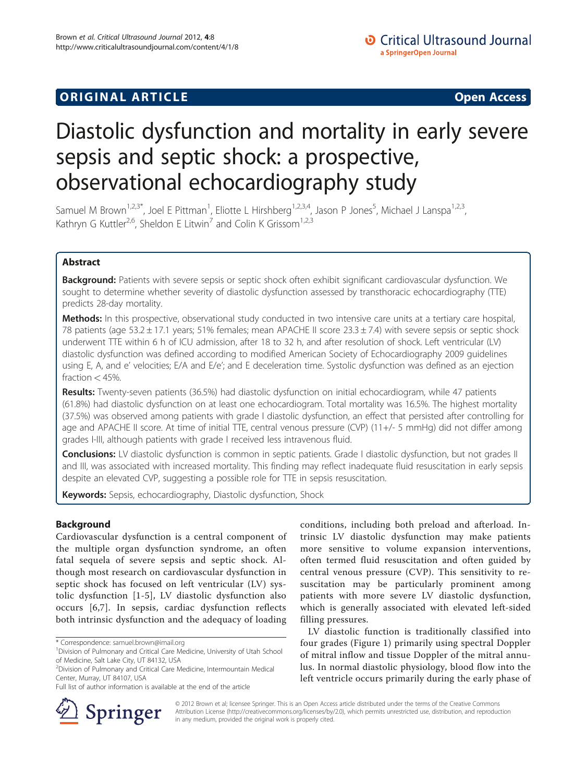## **ORIGINAL ARTICLE CONSUMING A LIGACION CONSUMING A LIGACION CONSUMING A LIGACION**

# Diastolic dysfunction and mortality in early severe sepsis and septic shock: a prospective, observational echocardiography study

Samuel M Brown<sup>1,2,3\*</sup>, Joel E Pittman<sup>1</sup>, Eliotte L Hirshberg<sup>1,2,3,4</sup>, Jason P Jones<sup>5</sup>, Michael J Lanspa<sup>1,2,3</sup>, Kathryn G Kuttler<sup>2,6</sup>, Sheldon E Litwin<sup>7</sup> and Colin K Grissom<sup>1,2,3</sup>

## Abstract

Background: Patients with severe sepsis or septic shock often exhibit significant cardiovascular dysfunction. We sought to determine whether severity of diastolic dysfunction assessed by transthoracic echocardiography (TTE) predicts 28-day mortality.

Methods: In this prospective, observational study conducted in two intensive care units at a tertiary care hospital, 78 patients (age 53.2  $\pm$  17.1 years; 51% females; mean APACHE II score 23.3  $\pm$  7.4) with severe sepsis or septic shock underwent TTE within 6 h of ICU admission, after 18 to 32 h, and after resolution of shock. Left ventricular (LV) diastolic dysfunction was defined according to modified American Society of Echocardiography 2009 guidelines using E, A, and e' velocities; E/A and E/e'; and E deceleration time. Systolic dysfunction was defined as an ejection fraction  $<$  45%.

Results: Twenty-seven patients (36.5%) had diastolic dysfunction on initial echocardiogram, while 47 patients (61.8%) had diastolic dysfunction on at least one echocardiogram. Total mortality was 16.5%. The highest mortality (37.5%) was observed among patients with grade I diastolic dysfunction, an effect that persisted after controlling for age and APACHE II score. At time of initial TTE, central venous pressure (CVP) (11+/- 5 mmHg) did not differ among grades I-III, although patients with grade I received less intravenous fluid.

Conclusions: LV diastolic dysfunction is common in septic patients. Grade I diastolic dysfunction, but not grades II and III, was associated with increased mortality. This finding may reflect inadequate fluid resuscitation in early sepsis despite an elevated CVP, suggesting a possible role for TTE in sepsis resuscitation.

Keywords: Sepsis, echocardiography, Diastolic dysfunction, Shock

## Background

Cardiovascular dysfunction is a central component of the multiple organ dysfunction syndrome, an often fatal sequela of severe sepsis and septic shock. Although most research on cardiovascular dysfunction in septic shock has focused on left ventricular (LV) systolic dysfunction [[1](#page-7-0)-[5](#page-7-0)], LV diastolic dysfunction also occurs [[6](#page-7-0),[7\]](#page-7-0). In sepsis, cardiac dysfunction reflects both intrinsic dysfunction and the adequacy of loading



LV diastolic function is traditionally classified into four grades (Figure [1\)](#page-1-0) primarily using spectral Doppler of mitral inflow and tissue Doppler of the mitral annulus. In normal diastolic physiology, blood flow into the left ventricle occurs primarily during the early phase of



© 2012 Brown et al; licensee Springer. This is an Open Access article distributed under the terms of the Creative Commons Attribution License [\(http://creativecommons.org/licenses/by/2.0\)](http://creativecommons.org/licenses/by/2.0), which permits unrestricted use, distribution, and reproduction in any medium, provided the original work is properly cited.

<sup>\*</sup> Correspondence: [samuel.brown@imail.org](mailto:samuel.brown@imail.org) <sup>1</sup>

<sup>&</sup>lt;sup>1</sup> Division of Pulmonary and Critical Care Medicine, University of Utah School of Medicine, Salt Lake City, UT 84132, USA

<sup>2</sup> Division of Pulmonary and Critical Care Medicine, Intermountain Medical Center, Murray, UT 84107, USA

Full list of author information is available at the end of the article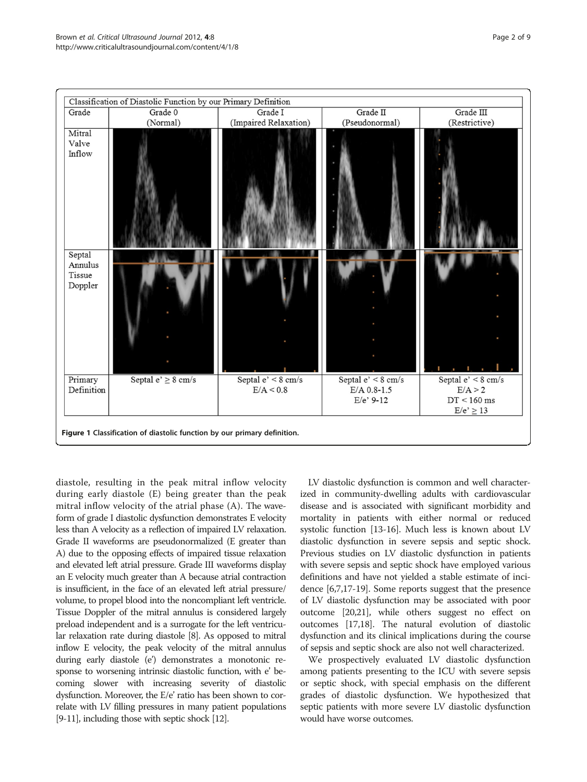<span id="page-1-0"></span>

diastole, resulting in the peak mitral inflow velocity during early diastole (E) being greater than the peak mitral inflow velocity of the atrial phase (A). The waveform of grade I diastolic dysfunction demonstrates E velocity less than A velocity as a reflection of impaired LV relaxation. Grade II waveforms are pseudonormalized (E greater than A) due to the opposing effects of impaired tissue relaxation and elevated left atrial pressure. Grade III waveforms display an E velocity much greater than A because atrial contraction is insufficient, in the face of an elevated left atrial pressure/ volume, to propel blood into the noncompliant left ventricle. Tissue Doppler of the mitral annulus is considered largely preload independent and is a surrogate for the left ventricular relaxation rate during diastole [\[8](#page-7-0)]. As opposed to mitral inflow E velocity, the peak velocity of the mitral annulus during early diastole (e') demonstrates a monotonic response to worsening intrinsic diastolic function, with e' becoming slower with increasing severity of diastolic dysfunction. Moreover, the E/e' ratio has been shown to correlate with LV filling pressures in many patient populations [[9](#page-7-0)-[11\]](#page-8-0), including those with septic shock [\[12](#page-8-0)].

LV diastolic dysfunction is common and well characterized in community-dwelling adults with cardiovascular disease and is associated with significant morbidity and mortality in patients with either normal or reduced systolic function [\[13-16\]](#page-8-0). Much less is known about LV diastolic dysfunction in severe sepsis and septic shock. Previous studies on LV diastolic dysfunction in patients with severe sepsis and septic shock have employed various definitions and have not yielded a stable estimate of incidence [\[6,7](#page-7-0)[,17-19\]](#page-8-0). Some reports suggest that the presence of LV diastolic dysfunction may be associated with poor outcome [\[20,21](#page-8-0)], while others suggest no effect on outcomes [[17,18\]](#page-8-0). The natural evolution of diastolic dysfunction and its clinical implications during the course of sepsis and septic shock are also not well characterized.

We prospectively evaluated LV diastolic dysfunction among patients presenting to the ICU with severe sepsis or septic shock, with special emphasis on the different grades of diastolic dysfunction. We hypothesized that septic patients with more severe LV diastolic dysfunction would have worse outcomes.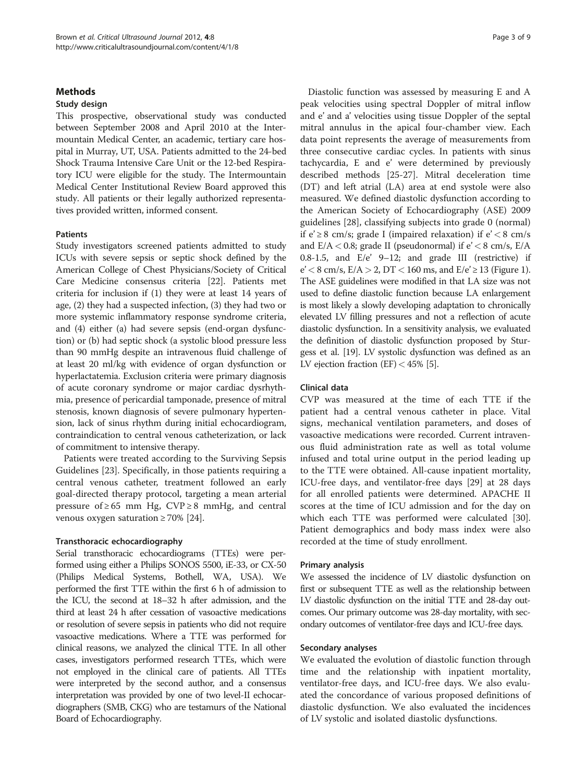## **Methods**

## Study design

This prospective, observational study was conducted between September 2008 and April 2010 at the Intermountain Medical Center, an academic, tertiary care hospital in Murray, UT, USA. Patients admitted to the 24-bed Shock Trauma Intensive Care Unit or the 12-bed Respiratory ICU were eligible for the study. The Intermountain Medical Center Institutional Review Board approved this study. All patients or their legally authorized representatives provided written, informed consent.

#### Patients

Study investigators screened patients admitted to study ICUs with severe sepsis or septic shock defined by the American College of Chest Physicians/Society of Critical Care Medicine consensus criteria [[22](#page-8-0)]. Patients met criteria for inclusion if (1) they were at least 14 years of age, (2) they had a suspected infection, (3) they had two or more systemic inflammatory response syndrome criteria, and (4) either (a) had severe sepsis (end-organ dysfunction) or (b) had septic shock (a systolic blood pressure less than 90 mmHg despite an intravenous fluid challenge of at least 20 ml/kg with evidence of organ dysfunction or hyperlactatemia. Exclusion criteria were primary diagnosis of acute coronary syndrome or major cardiac dysrhythmia, presence of pericardial tamponade, presence of mitral stenosis, known diagnosis of severe pulmonary hypertension, lack of sinus rhythm during initial echocardiogram, contraindication to central venous catheterization, or lack of commitment to intensive therapy.

Patients were treated according to the Surviving Sepsis Guidelines [\[23](#page-8-0)]. Specifically, in those patients requiring a central venous catheter, treatment followed an early goal-directed therapy protocol, targeting a mean arterial pressure of ≥65 mm Hg, CVP ≥ 8 mmHg, and central venous oxygen saturation  $\geq 70\%$  [\[24](#page-8-0)].

#### Transthoracic echocardiography

Serial transthoracic echocardiograms (TTEs) were performed using either a Philips SONOS 5500, iE-33, or CX-50 (Philips Medical Systems, Bothell, WA, USA). We performed the first TTE within the first 6 h of admission to the ICU, the second at 18–32 h after admission, and the third at least 24 h after cessation of vasoactive medications or resolution of severe sepsis in patients who did not require vasoactive medications. Where a TTE was performed for clinical reasons, we analyzed the clinical TTE. In all other cases, investigators performed research TTEs, which were not employed in the clinical care of patients. All TTEs were interpreted by the second author, and a consensus interpretation was provided by one of two level-II echocardiographers (SMB, CKG) who are testamurs of the National Board of Echocardiography.

Diastolic function was assessed by measuring E and A peak velocities using spectral Doppler of mitral inflow and e' and a' velocities using tissue Doppler of the septal mitral annulus in the apical four-chamber view. Each data point represents the average of measurements from three consecutive cardiac cycles. In patients with sinus tachycardia, E and e' were determined by previously described methods [[25-27\]](#page-8-0). Mitral deceleration time (DT) and left atrial (LA) area at end systole were also measured. We defined diastolic dysfunction according to the American Society of Echocardiography (ASE) 2009 guidelines [[28\]](#page-8-0), classifying subjects into grade 0 (normal) if  $e' \ge 8$  cm/s; grade I (impaired relaxation) if  $e' < 8$  cm/s and  $E/A < 0.8$ ; grade II (pseudonormal) if  $e' < 8$  cm/s,  $E/A$ 0.8-1.5, and E/e' 9–12; and grade III (restrictive) if  $e' < 8$  cm/s,  $E/A > 2$ , DT  $< 160$  $< 160$  $< 160$  ms, and  $E/e' \ge 13$  (Figure 1). The ASE guidelines were modified in that LA size was not used to define diastolic function because LA enlargement is most likely a slowly developing adaptation to chronically elevated LV filling pressures and not a reflection of acute diastolic dysfunction. In a sensitivity analysis, we evaluated the definition of diastolic dysfunction proposed by Sturgess et al. [\[19\]](#page-8-0). LV systolic dysfunction was defined as an LV ejection fraction (EF)  $<$  4[5](#page-7-0)% [5].

#### Clinical data

CVP was measured at the time of each TTE if the patient had a central venous catheter in place. Vital signs, mechanical ventilation parameters, and doses of vasoactive medications were recorded. Current intravenous fluid administration rate as well as total volume infused and total urine output in the period leading up to the TTE were obtained. All-cause inpatient mortality, ICU-free days, and ventilator-free days [[29\]](#page-8-0) at 28 days for all enrolled patients were determined. APACHE II scores at the time of ICU admission and for the day on which each TTE was performed were calculated [\[30](#page-8-0)]. Patient demographics and body mass index were also recorded at the time of study enrollment.

#### Primary analysis

We assessed the incidence of LV diastolic dysfunction on first or subsequent TTE as well as the relationship between LV diastolic dysfunction on the initial TTE and 28-day outcomes. Our primary outcome was 28-day mortality, with secondary outcomes of ventilator-free days and ICU-free days.

#### Secondary analyses

We evaluated the evolution of diastolic function through time and the relationship with inpatient mortality, ventilator-free days, and ICU-free days. We also evaluated the concordance of various proposed definitions of diastolic dysfunction. We also evaluated the incidences of LV systolic and isolated diastolic dysfunctions.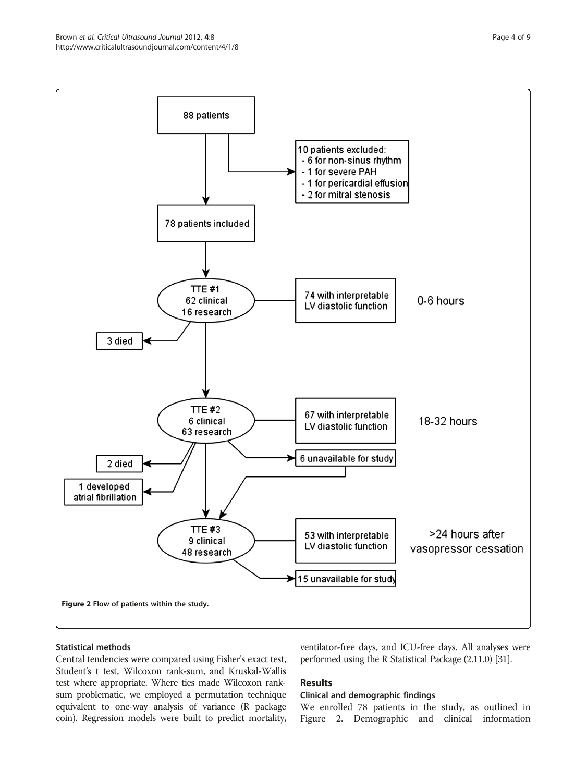

## Statistical methods

Central tendencies were compared using Fisher's exact test, Student's t test, Wilcoxon rank-sum, and Kruskal-Wallis test where appropriate. Where ties made Wilcoxon ranksum problematic, we employed a permutation technique equivalent to one-way analysis of variance (R package coin). Regression models were built to predict mortality, ventilator-free days, and ICU-free days. All analyses were performed using the R Statistical Package (2.11.0) [\[31\]](#page-8-0).

## Results

#### Clinical and demographic findings

We enrolled 78 patients in the study, as outlined in Figure 2. Demographic and clinical information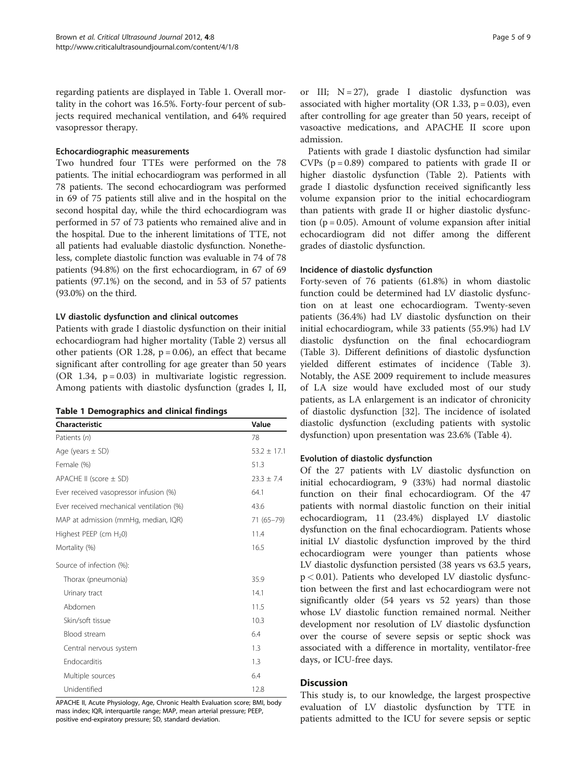regarding patients are displayed in Table 1. Overall mortality in the cohort was 16.5%. Forty-four percent of subjects required mechanical ventilation, and 64% required vasopressor therapy.

#### Echocardiographic measurements

Two hundred four TTEs were performed on the 78 patients. The initial echocardiogram was performed in all 78 patients. The second echocardiogram was performed in 69 of 75 patients still alive and in the hospital on the second hospital day, while the third echocardiogram was performed in 57 of 73 patients who remained alive and in the hospital. Due to the inherent limitations of TTE, not all patients had evaluable diastolic dysfunction. Nonetheless, complete diastolic function was evaluable in 74 of 78 patients (94.8%) on the first echocardiogram, in 67 of 69 patients (97.1%) on the second, and in 53 of 57 patients (93.0%) on the third.

#### LV diastolic dysfunction and clinical outcomes

Patients with grade I diastolic dysfunction on their initial echocardiogram had higher mortality (Table [2](#page-5-0)) versus all other patients (OR 1.28,  $p = 0.06$ ), an effect that became significant after controlling for age greater than 50 years (OR 1.34,  $p = 0.03$ ) in multivariate logistic regression. Among patients with diastolic dysfunction (grades I, II,

|  | <b>Table 1 Demographics and clinical findings</b> |  |  |
|--|---------------------------------------------------|--|--|
|--|---------------------------------------------------|--|--|

| Characteristic                           | Value           |
|------------------------------------------|-----------------|
| Patients (n)                             | 78              |
| Age (years $\pm$ SD)                     | $53.2 \pm 17.1$ |
| Female (%)                               | 51.3            |
| APACHE II (score $\pm$ SD)               | $23.3 + 7.4$    |
| Ever received vasopressor infusion (%)   | 64.1            |
| Ever received mechanical ventilation (%) | 43.6            |
| MAP at admission (mmHg, median, IQR)     | 71 (65-79)      |
| Highest PEEP (cm H <sub>2</sub> 0)       | 11.4            |
| Mortality (%)                            | 16.5            |
| Source of infection (%):                 |                 |
| Thorax (pneumonia)                       | 35.9            |
| Urinary tract                            | 14.1            |
| Abdomen                                  | 11.5            |
| Skin/soft tissue                         | 10.3            |
| Blood stream                             | 6.4             |
| Central nervous system                   | 1.3             |
| Endocarditis                             | 1.3             |
| Multiple sources                         | 6.4             |
| Unidentified                             | 12.8            |

APACHE II, Acute Physiology, Age, Chronic Health Evaluation score; BMI, body mass index; IQR, interquartile range; MAP, mean arterial pressure; PEEP, positive end-expiratory pressure; SD, standard deviation.

or III;  $N = 27$ , grade I diastolic dysfunction was associated with higher mortality (OR 1.33,  $p = 0.03$ ), even after controlling for age greater than 50 years, receipt of vasoactive medications, and APACHE II score upon admission.

Patients with grade I diastolic dysfunction had similar CVPs  $(p = 0.89)$  compared to patients with grade II or higher diastolic dysfunction (Table [2](#page-5-0)). Patients with grade I diastolic dysfunction received significantly less volume expansion prior to the initial echocardiogram than patients with grade II or higher diastolic dysfunction ( $p = 0.05$ ). Amount of volume expansion after initial echocardiogram did not differ among the different grades of diastolic dysfunction.

#### Incidence of diastolic dysfunction

Forty-seven of 76 patients (61.8%) in whom diastolic function could be determined had LV diastolic dysfunction on at least one echocardiogram. Twenty-seven patients (36.4%) had LV diastolic dysfunction on their initial echocardiogram, while 33 patients (55.9%) had LV diastolic dysfunction on the final echocardiogram (Table [3\)](#page-5-0). Different definitions of diastolic dysfunction yielded different estimates of incidence (Table [3](#page-5-0)). Notably, the ASE 2009 requirement to include measures of LA size would have excluded most of our study patients, as LA enlargement is an indicator of chronicity of diastolic dysfunction [\[32\]](#page-8-0). The incidence of isolated diastolic dysfunction (excluding patients with systolic dysfunction) upon presentation was 23.6% (Table [4](#page-6-0)).

## Evolution of diastolic dysfunction

Of the 27 patients with LV diastolic dysfunction on initial echocardiogram, 9 (33%) had normal diastolic function on their final echocardiogram. Of the 47 patients with normal diastolic function on their initial echocardiogram, 11 (23.4%) displayed LV diastolic dysfunction on the final echocardiogram. Patients whose initial LV diastolic dysfunction improved by the third echocardiogram were younger than patients whose LV diastolic dysfunction persisted (38 years vs 63.5 years,  $p < 0.01$ ). Patients who developed LV diastolic dysfunction between the first and last echocardiogram were not significantly older (54 years vs 52 years) than those whose LV diastolic function remained normal. Neither development nor resolution of LV diastolic dysfunction over the course of severe sepsis or septic shock was associated with a difference in mortality, ventilator-free days, or ICU-free days.

## **Discussion**

This study is, to our knowledge, the largest prospective evaluation of LV diastolic dysfunction by TTE in patients admitted to the ICU for severe sepsis or septic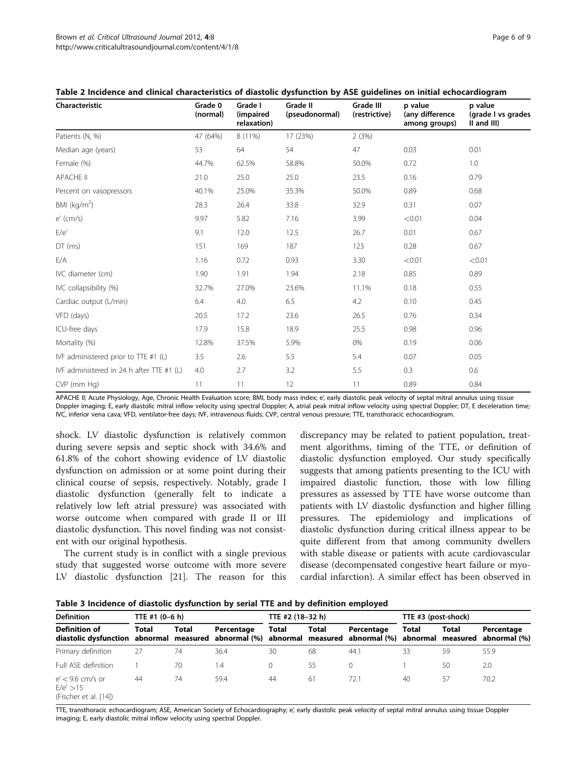| Characteristic                            | Grade 0<br>(normal) | Grade I<br>(impaired<br>relaxation) | Grade II<br>(pseudonormal) | <b>Grade III</b><br>(restrictive) | p value<br>(any difference<br>among groups) | p value<br>(grade I vs grades<br>II and III) |
|-------------------------------------------|---------------------|-------------------------------------|----------------------------|-----------------------------------|---------------------------------------------|----------------------------------------------|
| Patients (N, %)                           | 47 (64%)            | 8 (11%)                             | 17 (23%)                   | 2(3%)                             |                                             |                                              |
| Median age (years)                        | 53                  | 64                                  | 54                         | 47                                | 0.03                                        | 0.01                                         |
| Female (%)                                | 44.7%               | 62.5%                               | 58.8%                      | 50.0%                             | 0.72                                        | 1.0                                          |
| <b>APACHE II</b>                          | 21.0                | 25.0                                | 25.0                       | 23.5                              | 0.16                                        | 0.79                                         |
| Percent on vasopressors                   | 40.1%               | 25.0%                               | 35.3%                      | 50.0%                             | 0.89                                        | 0.68                                         |
| BMI ( $kg/m2$ )                           | 28.3                | 26.4                                | 33.8                       | 32.9                              | 0.31                                        | 0.07                                         |
| $e'$ (cm/s)                               | 9.97                | 5.82                                | 7.16                       | 3.99                              | < 0.01                                      | 0.04                                         |
| E/e'                                      | 9.1                 | 12.0                                | 12.5                       | 26.7                              | 0.01                                        | 0.67                                         |
| $DT$ (ms)                                 | 151                 | 169                                 | 187                        | 123                               | 0.28                                        | 0.67                                         |
| E/A                                       | 1.16                | 0.72                                | 0.93                       | 3.30                              | < 0.01                                      | < 0.01                                       |
| IVC diameter (cm)                         | 1.90                | 1.91                                | 1.94                       | 2.18                              | 0.85                                        | 0.89                                         |
| IVC collapsibility (%)                    | 32.7%               | 27.0%                               | 23.6%                      | 11.1%                             | 0.18                                        | 0.55                                         |
| Cardiac output (L/min)                    | 6.4                 | 4.0                                 | 6.5                        | 4.2                               | 0.10                                        | 0.45                                         |
| VFD (days)                                | 20.5                | 17.2                                | 23.6                       | 26.5                              | 0.76                                        | 0.34                                         |
| ICU-free days                             | 17.9                | 15.8                                | 18.9                       | 25.5                              | 0.98                                        | 0.96                                         |
| Mortality (%)                             | 12.8%               | 37.5%                               | 5.9%                       | 0%                                | 0.19                                        | 0.06                                         |
| IVF administered prior to TTE #1 (L)      | 3.5                 | 2.6                                 | 5.5                        | 5.4                               | 0.07                                        | 0.05                                         |
| IVF administered in 24 h after TTE #1 (L) | 4.0                 | 2.7                                 | 3.2                        | 5.5                               | 0.3                                         | 0.6                                          |
| CVP (mm Hg)                               | 11                  | 11                                  | 12                         | 11                                | 0.89                                        | 0.84                                         |

#### <span id="page-5-0"></span>Table 2 Incidence and clinical characteristics of diastolic dysfunction by ASE guidelines on initial echocardiogram

APACHE II; Acute Physiology, Age, Chronic Health Evaluation score; BMI, body mass index; e', early diastolic peak velocity of septal mitral annulus using tissue Doppler imaging; E, early diastolic mitral inflow velocity using spectral Doppler; A, atrial peak mitral inflow velocity using spectral Doppler; DT, E deceleration time; IVC, inferior vena cava; VFD, ventilator-free days; IVF, intravenous fluids; CVP, central venous pressure; TTE, transthoracic echocardiogram.

shock. LV diastolic dysfunction is relatively common during severe sepsis and septic shock with 34.6% and 61.8% of the cohort showing evidence of LV diastolic dysfunction on admission or at some point during their clinical course of sepsis, respectively. Notably, grade I diastolic dysfunction (generally felt to indicate a relatively low left atrial pressure) was associated with worse outcome when compared with grade II or III diastolic dysfunction. This novel finding was not consistent with our original hypothesis.

The current study is in conflict with a single previous study that suggested worse outcome with more severe LV diastolic dysfunction [[21](#page-8-0)]. The reason for this discrepancy may be related to patient population, treatment algorithms, timing of the TTE, or definition of diastolic dysfunction employed. Our study specifically suggests that among patients presenting to the ICU with impaired diastolic function, those with low filling pressures as assessed by TTE have worse outcome than patients with LV diastolic dysfunction and higher filling pressures. The epidemiology and implications of diastolic dysfunction during critical illness appear to be quite different from that among community dwellers with stable disease or patients with acute cardiovascular disease (decompensated congestive heart failure or myocardial infarction). A similar effect has been observed in

Table 3 Incidence of diastolic dysfunction by serial TTE and by definition employed

| <b>Definition</b>                                                                                                                          | TTE #1 (0-6 h) |       |            | TTE #2 (18-32 h) |              |            | TTE #3 (post-shock) |       |            |
|--------------------------------------------------------------------------------------------------------------------------------------------|----------------|-------|------------|------------------|--------------|------------|---------------------|-------|------------|
| <b>Definition of</b><br>diastolic dysfunction abnormal measured abnormal (%) abnormal measured abnormal (%) abnormal measured abnormal (%) | Total          | Total | Percentage | Total            | <b>Total</b> | Percentage | Total               | Total | Percentage |
| Primary definition                                                                                                                         | 27             | 74    | 36.4       | 30               | 68           | 44.1       | 33                  | 59    | 55.9       |
| Full ASF definition                                                                                                                        |                | 70    | 1.4        | $\Omega$         | -55          | 0          |                     | 50    | 2.0        |
| $e'$ < 9.6 cm/s or<br>E/e' > 15<br>(Fischer et al. [14])                                                                                   | 44             | 74    | 59.4       | 44               | 61           | 72.1       | 40                  | 57    | 70.2       |

TTE, transthoracic echocardiogram; ASE, American Society of Echocardiography; e', early diastolic peak velocity of septal mitral annulus using tissue Doppler imaging; E, early diastolic mitral inflow velocity using spectral Doppler.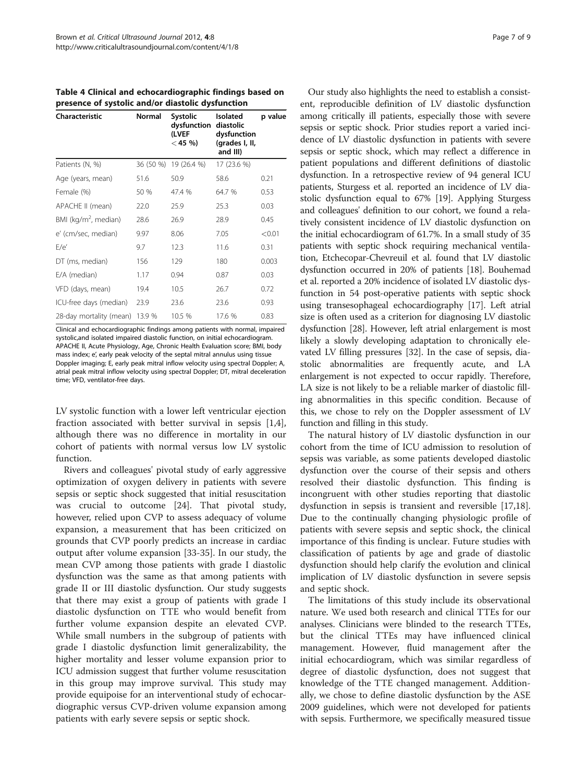<span id="page-6-0"></span>Table 4 Clinical and echocardiographic findings based on presence of systolic and/or diastolic dysfunction

| Characteristic                 | Normal    | Systolic<br>dysfunction<br>(LVEF<br>$<$ 45 %) | Isolated<br>diastolic<br>dysfunction<br>(grades I, II,<br>and III) | p value |
|--------------------------------|-----------|-----------------------------------------------|--------------------------------------------------------------------|---------|
| Patients (N, %)                | 36 (50 %) | 19 (26.4 %)                                   | 17 (23.6 %)                                                        |         |
| Age (years, mean)              | 51.6      | 50.9                                          | 58.6                                                               | 0.21    |
| Female (%)                     | 50 %      | 47.4 %                                        | 64.7 %                                                             | 0.53    |
| APACHE II (mean)               | 22.0      | 25.9                                          | 25.3                                                               | 0.03    |
| BMI ( $kg/m2$ , median)        | 28.6      | 26.9                                          | 28.9                                                               | 0.45    |
| e' (cm/sec, median)            | 9.97      | 8.06                                          | 7.05                                                               | < 0.01  |
| E/e'                           | 9.7       | 12.3                                          | 11.6                                                               | 0.31    |
| DT (ms, median)                | 156       | 129                                           | 180                                                                | 0.003   |
| E/A (median)                   | 1.17      | 0.94                                          | 0.87                                                               | 0.03    |
| VFD (days, mean)               | 19.4      | 10.5                                          | 26.7                                                               | 0.72    |
| ICU-free days (median)         | 23.9      | 23.6                                          | 23.6                                                               | 0.93    |
| 28-day mortality (mean) 13.9 % |           | 10.5 %                                        | 17.6 %                                                             | 0.83    |

Clinical and echocardiographic findings among patients with normal, impaired systolic,and isolated impaired diastolic function, on initial echocardiogram. APACHE II, Acute Physiology, Age, Chronic Health Evaluation score; BMI, body mass index; e', early peak velocity of the septal mitral annulus using tissue Doppler imaging; E, early peak mitral inflow velocity using spectral Doppler; A, atrial peak mitral inflow velocity using spectral Doppler; DT, mitral deceleration time; VFD, ventilator-free days.

LV systolic function with a lower left ventricular ejection fraction associated with better survival in sepsis [\[1,4](#page-7-0)], although there was no difference in mortality in our cohort of patients with normal versus low LV systolic function.

Rivers and colleagues' pivotal study of early aggressive optimization of oxygen delivery in patients with severe sepsis or septic shock suggested that initial resuscitation was crucial to outcome [[24](#page-8-0)]. That pivotal study, however, relied upon CVP to assess adequacy of volume expansion, a measurement that has been criticized on grounds that CVP poorly predicts an increase in cardiac output after volume expansion [[33-35\]](#page-8-0). In our study, the mean CVP among those patients with grade I diastolic dysfunction was the same as that among patients with grade II or III diastolic dysfunction. Our study suggests that there may exist a group of patients with grade I diastolic dysfunction on TTE who would benefit from further volume expansion despite an elevated CVP. While small numbers in the subgroup of patients with grade I diastolic dysfunction limit generalizability, the higher mortality and lesser volume expansion prior to ICU admission suggest that further volume resuscitation in this group may improve survival. This study may provide equipoise for an interventional study of echocardiographic versus CVP-driven volume expansion among patients with early severe sepsis or septic shock.

Our study also highlights the need to establish a consistent, reproducible definition of LV diastolic dysfunction among critically ill patients, especially those with severe sepsis or septic shock. Prior studies report a varied incidence of LV diastolic dysfunction in patients with severe sepsis or septic shock, which may reflect a difference in patient populations and different definitions of diastolic dysfunction. In a retrospective review of 94 general ICU patients, Sturgess et al. reported an incidence of LV diastolic dysfunction equal to 67% [\[19\]](#page-8-0). Applying Sturgess and colleagues' definition to our cohort, we found a relatively consistent incidence of LV diastolic dysfunction on the initial echocardiogram of 61.7%. In a small study of 35 patients with septic shock requiring mechanical ventilation, Etchecopar-Chevreuil et al. found that LV diastolic dysfunction occurred in 20% of patients [[18](#page-8-0)]. Bouhemad et al. reported a 20% incidence of isolated LV diastolic dysfunction in 54 post-operative patients with septic shock using transesophageal echocardiography [\[17\]](#page-8-0). Left atrial size is often used as a criterion for diagnosing LV diastolic dysfunction [[28](#page-8-0)]. However, left atrial enlargement is most likely a slowly developing adaptation to chronically elevated LV filling pressures [[32](#page-8-0)]. In the case of sepsis, diastolic abnormalities are frequently acute, and LA enlargement is not expected to occur rapidly. Therefore, LA size is not likely to be a reliable marker of diastolic filling abnormalities in this specific condition. Because of this, we chose to rely on the Doppler assessment of LV function and filling in this study.

The natural history of LV diastolic dysfunction in our cohort from the time of ICU admission to resolution of sepsis was variable, as some patients developed diastolic dysfunction over the course of their sepsis and others resolved their diastolic dysfunction. This finding is incongruent with other studies reporting that diastolic dysfunction in sepsis is transient and reversible [\[17,18](#page-8-0)]. Due to the continually changing physiologic profile of patients with severe sepsis and septic shock, the clinical importance of this finding is unclear. Future studies with classification of patients by age and grade of diastolic dysfunction should help clarify the evolution and clinical implication of LV diastolic dysfunction in severe sepsis and septic shock.

The limitations of this study include its observational nature. We used both research and clinical TTEs for our analyses. Clinicians were blinded to the research TTEs, but the clinical TTEs may have influenced clinical management. However, fluid management after the initial echocardiogram, which was similar regardless of degree of diastolic dysfunction, does not suggest that knowledge of the TTE changed management. Additionally, we chose to define diastolic dysfunction by the ASE 2009 guidelines, which were not developed for patients with sepsis. Furthermore, we specifically measured tissue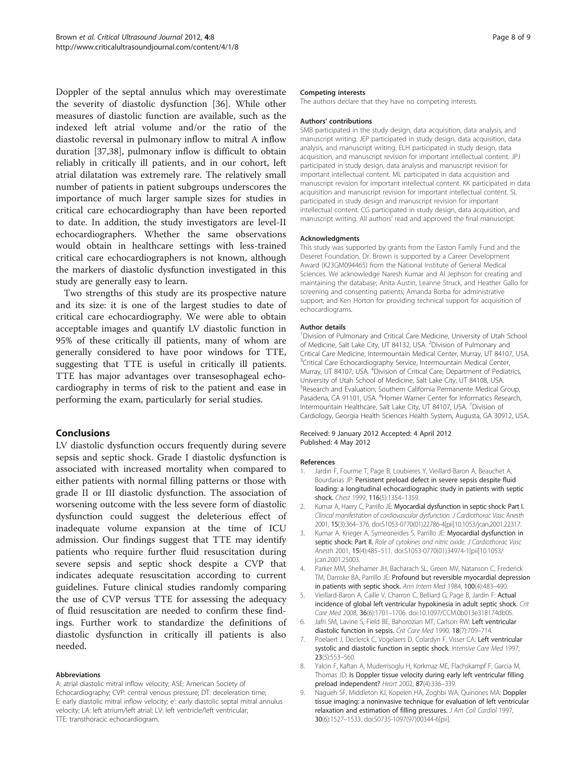<span id="page-7-0"></span>Doppler of the septal annulus which may overestimate the severity of diastolic dysfunction [[36\]](#page-8-0). While other measures of diastolic function are available, such as the indexed left atrial volume and/or the ratio of the diastolic reversal in pulmonary inflow to mitral A inflow duration [[37](#page-8-0),[38](#page-8-0)], pulmonary inflow is difficult to obtain reliably in critically ill patients, and in our cohort, left atrial dilatation was extremely rare. The relatively small number of patients in patient subgroups underscores the importance of much larger sample sizes for studies in critical care echocardiography than have been reported to date. In addition, the study investigators are level-II echocardiographers. Whether the same observations would obtain in healthcare settings with less-trained critical care echocardiographers is not known, although the markers of diastolic dysfunction investigated in this study are generally easy to learn.

Two strengths of this study are its prospective nature and its size: it is one of the largest studies to date of critical care echocardiography. We were able to obtain acceptable images and quantify LV diastolic function in 95% of these critically ill patients, many of whom are generally considered to have poor windows for TTE, suggesting that TTE is useful in critically ill patients. TTE has major advantages over transesophageal echocardiography in terms of risk to the patient and ease in performing the exam, particularly for serial studies.

## Conclusions

LV diastolic dysfunction occurs frequently during severe sepsis and septic shock. Grade I diastolic dysfunction is associated with increased mortality when compared to either patients with normal filling patterns or those with grade II or III diastolic dysfunction. The association of worsening outcome with the less severe form of diastolic dysfunction could suggest the deleterious effect of inadequate volume expansion at the time of ICU admission. Our findings suggest that TTE may identify patients who require further fluid resuscitation during severe sepsis and septic shock despite a CVP that indicates adequate resuscitation according to current guidelines. Future clinical studies randomly comparing the use of CVP versus TTE for assessing the adequacy of fluid resuscitation are needed to confirm these findings. Further work to standardize the definitions of diastolic dysfunction in critically ill patients is also needed.

#### Abbreviations

A: atrial diastolic mitral inflow velocity; ASE: American Society of Echocardiography; CVP: central venous pressure; DT: deceleration time; E: early diastolic mitral inflow velocity; e': early diastolic septal mitral annulus velocity; LA: left atrium/left atrial; LV: left ventricle/left ventricular; TTE: transthoracic echocardiogram.

#### Competing interests

The authors declare that they have no competing interests.

#### Authors' contributions

SMB participated in the study design, data acquisition, data analysis, and manuscript writing. JEP participated in study design, data acquisition, data analysis, and manuscript writing. ELH participated in study design, data acquisition, and manuscript revision for important intellectual content. JPJ participated in study design, data analysis and manuscript revision for important intellectual content. ML participated in data acquisition and manuscript revision for important intellectual content. KK participated in data acquisition and manuscript revision for important intellectual content. SL participated in study design and manuscript revision for important intellectual content. CG participated in study design, data acquisition, and manuscript writing. All authors' read and approved the final manuscript.

#### Acknowledgments

This study was supported by grants from the Easton Family Fund and the Deseret Foundation. Dr. Brown is supported by a Career Development Award (K23GM094465) from the National Institute of General Medical Sciences. We acknowledge Naresh Kumar and Al Jephson for creating and maintaining the database; Anita Austin, Leanne Struck, and Heather Gallo for screening and consenting patients; Amanda Borba for administrative support; and Ken Horton for providing technical support for acquisition of echocardiograms.

#### Author details

<sup>1</sup> Division of Pulmonary and Critical Care Medicine, University of Utah School of Medicine, Salt Lake City, UT 84132, USA. <sup>2</sup> Division of Pulmonary and Critical Care Medicine, Intermountain Medical Center, Murray, UT 84107, USA. <sup>3</sup>Critical Care Echocardiography Service, Intermountain Medical Center, Murray, UT 84107, USA. <sup>4</sup> Division of Critical Care, Department of Pediatrics University of Utah School of Medicine, Salt Lake City, UT 84108, USA. 5 Research and Evaluation, Southern California Permanente Medical Group, Pasadena, CA 91101, USA. <sup>6</sup> Homer Warner Center for Informatics Research Intermountain Healthcare, Salt Lake City, UT 84107, USA. <sup>7</sup>Division of Cardiology, Georgia Health Sciences Health System, Augusta, GA 30912, USA.

#### Received: 9 January 2012 Accepted: 4 April 2012 Published: 4 May 2012

#### References

- 1. Jardin F, Fourme T, Page B, Loubieres Y, Vieillard-Baron A, Beauchet A, Bourdarias JP: Persistent preload defect in severe sepsis despite fluid loading: a longitudinal echocardiographic study in patients with septic shock. Chest 1999, 116(5):1354–1359.
- 2. Kumar A, Haery C, Parrillo JE: Myocardial dysfunction in septic shock: Part I. Clinical manifestation of cardiovascular dysfunction. J Cardiothorac Vasc Anesth 2001, 15(3):364–376. doi[:S1053-0770\(01\)22786-4\[pii\]10.1053/jcan.2001.22317](http://dx.doi.org/S1053-0770(01)22786-4%20[pii]10.1053/jcan.2001.22317).
- 3. Kumar A, Krieger A, Symeoneides S, Parrillo JE: Myocardial dysfunction in septic shock: Part II. Role of cytokines and nitric oxide. J Cardiothorac Vasc Anesth 2001, 15(4):485–511. doi:[S1053-0770\(01\)34974-1\[pii\]10.1053/](http://dx.doi.org/S1053-0770(01)34974-1[pii]10.1053/jcan.2001.25003) [jcan.2001.25003](http://dx.doi.org/S1053-0770(01)34974-1[pii]10.1053/jcan.2001.25003).
- 4. Parker MM, Shelhamer JH, Bacharach SL, Green MV, Natanson C, Frederick TM, Damske BA, Parrillo JE: Profound but reversible myocardial depression in patients with septic shock. Ann Intern Med 1984, 100(4):483–490.
- 5. Vieillard-Baron A, Caille V, Charron C, Belliard G, Page B, Jardin F: Actual incidence of global left ventricular hypokinesia in adult septic shock. Crit Care Med 2008, 36(6):1701–1706. doi[:10.1097/CCM.0b013e318174db05.](http://dx.doi.org/10.1097/CCM.0b013e318174db05)
- 6. Jafri SM, Lavine S, Field BE, Bahorozian MT, Carlson RW: Left ventricular diastolic function in sepsis. Crit Care Med 1990, 18(7):709–714.
- 7. Poelaert J, Declerck C, Vogelaers D, Colardyn F, Visser CA: Left ventricular systolic and diastolic function in septic shock. Intensive Care Med 1997, 23(5):553–560.
- 8. Yalcin F, Kaftan A, Muderrisoglu H, Korkmaz ME, Flachskampf F, Garcia M, Thomas JD: Is Doppler tissue velocity during early left ventricular filling preload independent? Heart 2002, 87(4):336–339.
- 9. Nagueh SF, Middleton KJ, Kopelen HA, Zoghbi WA, Quinones MA: Doppler tissue imaging: a noninvasive technique for evaluation of left ventricular relaxation and estimation of filling pressures. J Am Coll Cardiol 1997, 30(6):1527–1533. doi:[S0735-1097\(97\)00344-6\[pii\]](http://dx.doi.org/S0735-1097(97)00344-6[pii]).